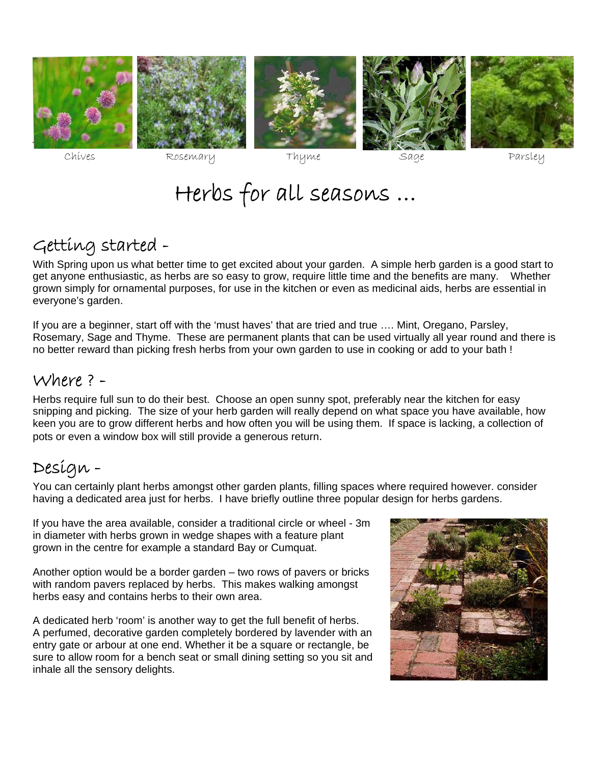









# Herbs for all seasons …

## Getting started -

With Spring upon us what better time to get excited about your garden. A simple herb garden is a good start to get anyone enthusiastic, as herbs are so easy to grow, require little time and the benefits are many. Whether grown simply for ornamental purposes, for use in the kitchen or even as medicinal aids, herbs are essential in everyone's garden.

If you are a beginner, start off with the 'must haves' that are tried and true …. Mint, Oregano, Parsley, Rosemary, Sage and Thyme. These are permanent plants that can be used virtually all year round and there is no better reward than picking fresh herbs from your own garden to use in cooking or add to your bath !

### Where ? -

Herbs require full sun to do their best. Choose an open sunny spot, preferably near the kitchen for easy snipping and picking. The size of your herb garden will really depend on what space you have available, how keen you are to grow different herbs and how often you will be using them. If space is lacking, a collection of pots or even a window box will still provide a generous return.

## Design -

You can certainly plant herbs amongst other garden plants, filling spaces where required however. consider having a dedicated area just for herbs. I have briefly outline three popular design for herbs gardens.

If you have the area available, consider a traditional circle or wheel - 3m in diameter with herbs grown in wedge shapes with a feature plant grown in the centre for example a standard Bay or Cumquat.

Another option would be a border garden – two rows of pavers or bricks with random pavers replaced by herbs. This makes walking amongst herbs easy and contains herbs to their own area.

A dedicated herb 'room' is another way to get the full benefit of herbs. A perfumed, decorative garden completely bordered by lavender with an entry gate or arbour at one end. Whether it be a square or rectangle, be sure to allow room for a bench seat or small dining setting so you sit and inhale all the sensory delights.